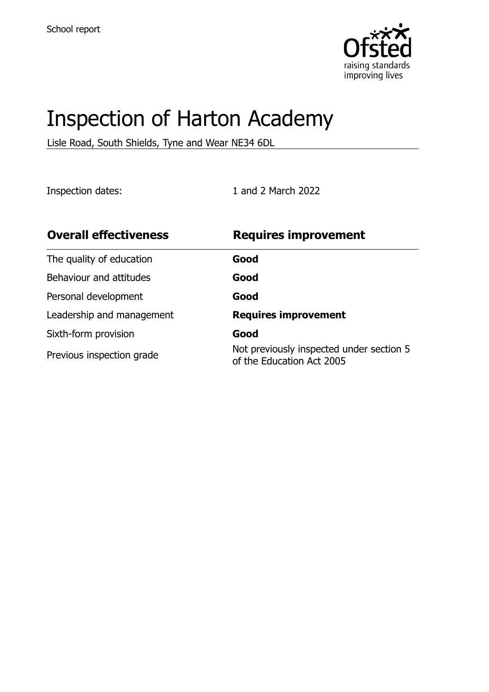

# Inspection of Harton Academy

Lisle Road, South Shields, Tyne and Wear NE34 6DL

Inspection dates: 1 and 2 March 2022

| <b>Overall effectiveness</b> | <b>Requires improvement</b>                                           |
|------------------------------|-----------------------------------------------------------------------|
| The quality of education     | Good                                                                  |
| Behaviour and attitudes      | Good                                                                  |
| Personal development         | Good                                                                  |
| Leadership and management    | <b>Requires improvement</b>                                           |
| Sixth-form provision         | Good                                                                  |
| Previous inspection grade    | Not previously inspected under section 5<br>of the Education Act 2005 |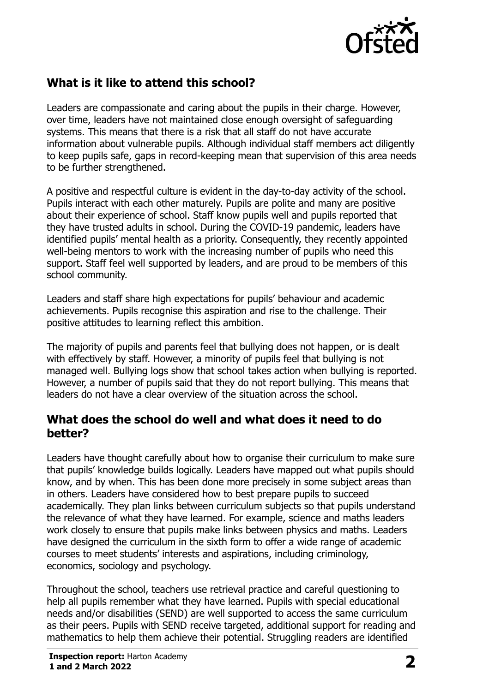

# **What is it like to attend this school?**

Leaders are compassionate and caring about the pupils in their charge. However, over time, leaders have not maintained close enough oversight of safeguarding systems. This means that there is a risk that all staff do not have accurate information about vulnerable pupils. Although individual staff members act diligently to keep pupils safe, gaps in record-keeping mean that supervision of this area needs to be further strengthened.

A positive and respectful culture is evident in the day-to-day activity of the school. Pupils interact with each other maturely. Pupils are polite and many are positive about their experience of school. Staff know pupils well and pupils reported that they have trusted adults in school. During the COVID-19 pandemic, leaders have identified pupils' mental health as a priority. Consequently, they recently appointed well-being mentors to work with the increasing number of pupils who need this support. Staff feel well supported by leaders, and are proud to be members of this school community.

Leaders and staff share high expectations for pupils' behaviour and academic achievements. Pupils recognise this aspiration and rise to the challenge. Their positive attitudes to learning reflect this ambition.

The majority of pupils and parents feel that bullying does not happen, or is dealt with effectively by staff. However, a minority of pupils feel that bullying is not managed well. Bullying logs show that school takes action when bullying is reported. However, a number of pupils said that they do not report bullying. This means that leaders do not have a clear overview of the situation across the school.

#### **What does the school do well and what does it need to do better?**

Leaders have thought carefully about how to organise their curriculum to make sure that pupils' knowledge builds logically. Leaders have mapped out what pupils should know, and by when. This has been done more precisely in some subject areas than in others. Leaders have considered how to best prepare pupils to succeed academically. They plan links between curriculum subjects so that pupils understand the relevance of what they have learned. For example, science and maths leaders work closely to ensure that pupils make links between physics and maths. Leaders have designed the curriculum in the sixth form to offer a wide range of academic courses to meet students' interests and aspirations, including criminology, economics, sociology and psychology.

Throughout the school, teachers use retrieval practice and careful questioning to help all pupils remember what they have learned. Pupils with special educational needs and/or disabilities (SEND) are well supported to access the same curriculum as their peers. Pupils with SEND receive targeted, additional support for reading and mathematics to help them achieve their potential. Struggling readers are identified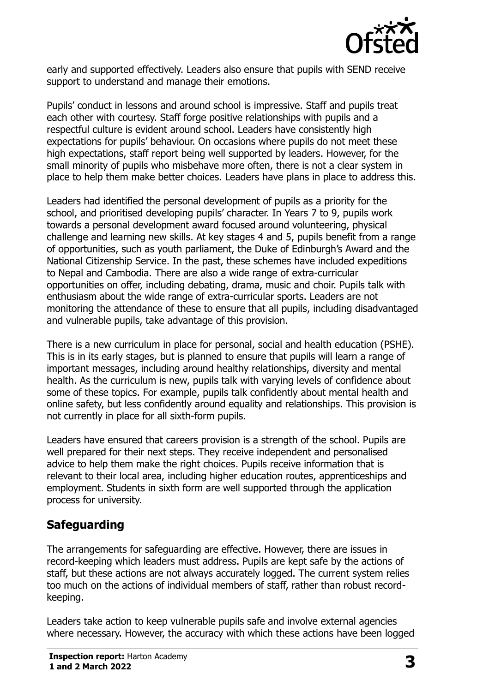

early and supported effectively. Leaders also ensure that pupils with SEND receive support to understand and manage their emotions.

Pupils' conduct in lessons and around school is impressive. Staff and pupils treat each other with courtesy. Staff forge positive relationships with pupils and a respectful culture is evident around school. Leaders have consistently high expectations for pupils' behaviour. On occasions where pupils do not meet these high expectations, staff report being well supported by leaders. However, for the small minority of pupils who misbehave more often, there is not a clear system in place to help them make better choices. Leaders have plans in place to address this.

Leaders had identified the personal development of pupils as a priority for the school, and prioritised developing pupils' character. In Years 7 to 9, pupils work towards a personal development award focused around volunteering, physical challenge and learning new skills. At key stages 4 and 5, pupils benefit from a range of opportunities, such as youth parliament, the Duke of Edinburgh's Award and the National Citizenship Service. In the past, these schemes have included expeditions to Nepal and Cambodia. There are also a wide range of extra-curricular opportunities on offer, including debating, drama, music and choir. Pupils talk with enthusiasm about the wide range of extra-curricular sports. Leaders are not monitoring the attendance of these to ensure that all pupils, including disadvantaged and vulnerable pupils, take advantage of this provision.

There is a new curriculum in place for personal, social and health education (PSHE). This is in its early stages, but is planned to ensure that pupils will learn a range of important messages, including around healthy relationships, diversity and mental health. As the curriculum is new, pupils talk with varying levels of confidence about some of these topics. For example, pupils talk confidently about mental health and online safety, but less confidently around equality and relationships. This provision is not currently in place for all sixth-form pupils.

Leaders have ensured that careers provision is a strength of the school. Pupils are well prepared for their next steps. They receive independent and personalised advice to help them make the right choices. Pupils receive information that is relevant to their local area, including higher education routes, apprenticeships and employment. Students in sixth form are well supported through the application process for university.

# **Safeguarding**

The arrangements for safeguarding are effective. However, there are issues in record-keeping which leaders must address. Pupils are kept safe by the actions of staff, but these actions are not always accurately logged. The current system relies too much on the actions of individual members of staff, rather than robust recordkeeping.

Leaders take action to keep vulnerable pupils safe and involve external agencies where necessary. However, the accuracy with which these actions have been logged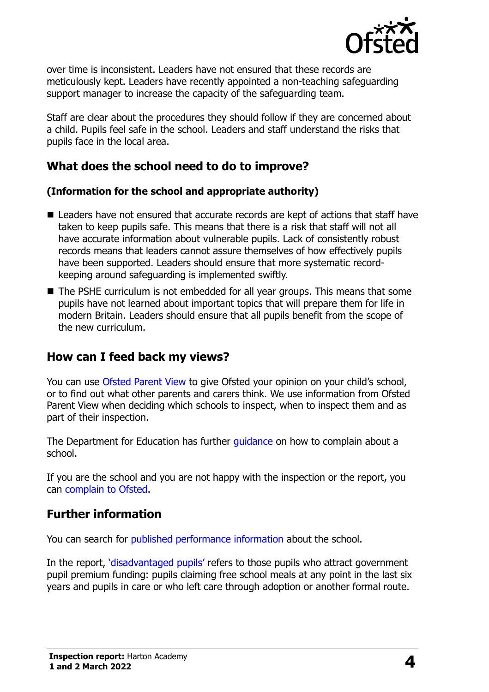

over time is inconsistent. Leaders have not ensured that these records are meticulously kept. Leaders have recently appointed a non-teaching safeguarding support manager to increase the capacity of the safeguarding team.

Staff are clear about the procedures they should follow if they are concerned about a child. Pupils feel safe in the school. Leaders and staff understand the risks that pupils face in the local area.

#### **What does the school need to do to improve?**

#### **(Information for the school and appropriate authority)**

- Leaders have not ensured that accurate records are kept of actions that staff have taken to keep pupils safe. This means that there is a risk that staff will not all have accurate information about vulnerable pupils. Lack of consistently robust records means that leaders cannot assure themselves of how effectively pupils have been supported. Leaders should ensure that more systematic recordkeeping around safeguarding is implemented swiftly.
- The PSHE curriculum is not embedded for all year groups. This means that some pupils have not learned about important topics that will prepare them for life in modern Britain. Leaders should ensure that all pupils benefit from the scope of the new curriculum.

# **How can I feed back my views?**

You can use [Ofsted Parent View](http://parentview.ofsted.gov.uk/) to give Ofsted your opinion on your child's school, or to find out what other parents and carers think. We use information from Ofsted Parent View when deciding which schools to inspect, when to inspect them and as part of their inspection.

The Department for Education has further quidance on how to complain about a school.

If you are the school and you are not happy with the inspection or the report, you can [complain to Ofsted.](http://www.gov.uk/complain-ofsted-report)

#### **Further information**

You can search for [published performance information](http://www.compare-school-performance.service.gov.uk/) about the school.

In the report, '[disadvantaged pupils](http://www.gov.uk/guidance/pupil-premium-information-for-schools-and-alternative-provision-settings)' refers to those pupils who attract government pupil premium funding: pupils claiming free school meals at any point in the last six years and pupils in care or who left care through adoption or another formal route.

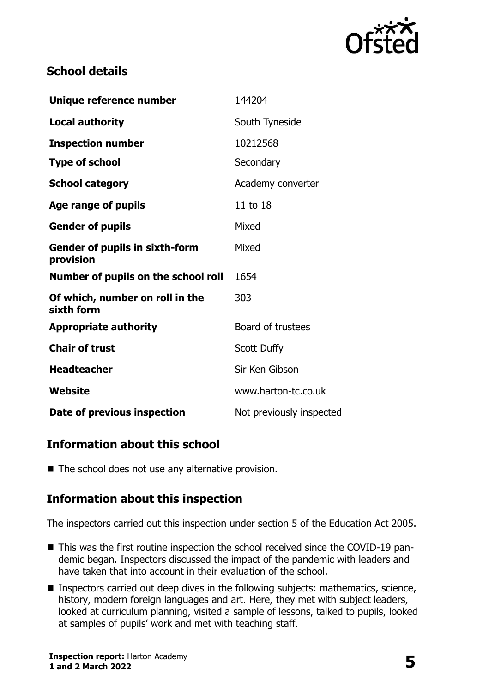

# **School details**

| Unique reference number                            | 144204                   |
|----------------------------------------------------|--------------------------|
| <b>Local authority</b>                             | South Tyneside           |
| <b>Inspection number</b>                           | 10212568                 |
| <b>Type of school</b>                              | Secondary                |
| <b>School category</b>                             | Academy converter        |
| Age range of pupils                                | 11 to 18                 |
| <b>Gender of pupils</b>                            | Mixed                    |
| <b>Gender of pupils in sixth-form</b><br>provision | Mixed                    |
| Number of pupils on the school roll                | 1654                     |
| Of which, number on roll in the<br>sixth form      | 303                      |
| <b>Appropriate authority</b>                       | Board of trustees        |
| <b>Chair of trust</b>                              | <b>Scott Duffy</b>       |
| <b>Headteacher</b>                                 | Sir Ken Gibson           |
| Website                                            | www.harton-tc.co.uk      |
| Date of previous inspection                        | Not previously inspected |

# **Information about this school**

■ The school does not use any alternative provision.

# **Information about this inspection**

The inspectors carried out this inspection under section 5 of the Education Act 2005.

- This was the first routine inspection the school received since the COVID-19 pandemic began. Inspectors discussed the impact of the pandemic with leaders and have taken that into account in their evaluation of the school.
- Inspectors carried out deep dives in the following subjects: mathematics, science, history, modern foreign languages and art. Here, they met with subject leaders, looked at curriculum planning, visited a sample of lessons, talked to pupils, looked at samples of pupils' work and met with teaching staff.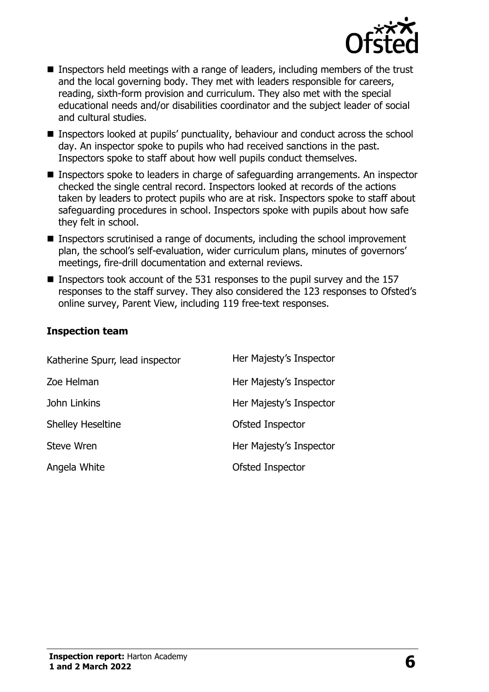

- Inspectors held meetings with a range of leaders, including members of the trust and the local governing body. They met with leaders responsible for careers, reading, sixth-form provision and curriculum. They also met with the special educational needs and/or disabilities coordinator and the subject leader of social and cultural studies.
- Inspectors looked at pupils' punctuality, behaviour and conduct across the school day. An inspector spoke to pupils who had received sanctions in the past. Inspectors spoke to staff about how well pupils conduct themselves.
- Inspectors spoke to leaders in charge of safeguarding arrangements. An inspector checked the single central record. Inspectors looked at records of the actions taken by leaders to protect pupils who are at risk. Inspectors spoke to staff about safeguarding procedures in school. Inspectors spoke with pupils about how safe they felt in school.
- Inspectors scrutinised a range of documents, including the school improvement plan, the school's self-evaluation, wider curriculum plans, minutes of governors' meetings, fire-drill documentation and external reviews.
- $\blacksquare$  Inspectors took account of the 531 responses to the pupil survey and the 157 responses to the staff survey. They also considered the 123 responses to Ofsted's online survey, Parent View, including 119 free-text responses.

#### **Inspection team**

| Katherine Spurr, lead inspector | Her Majesty's Inspector |
|---------------------------------|-------------------------|
| Zoe Helman                      | Her Majesty's Inspector |
| John Linkins                    | Her Majesty's Inspector |
| <b>Shelley Heseltine</b>        | Ofsted Inspector        |
| Steve Wren                      | Her Majesty's Inspector |
| Angela White                    | Ofsted Inspector        |